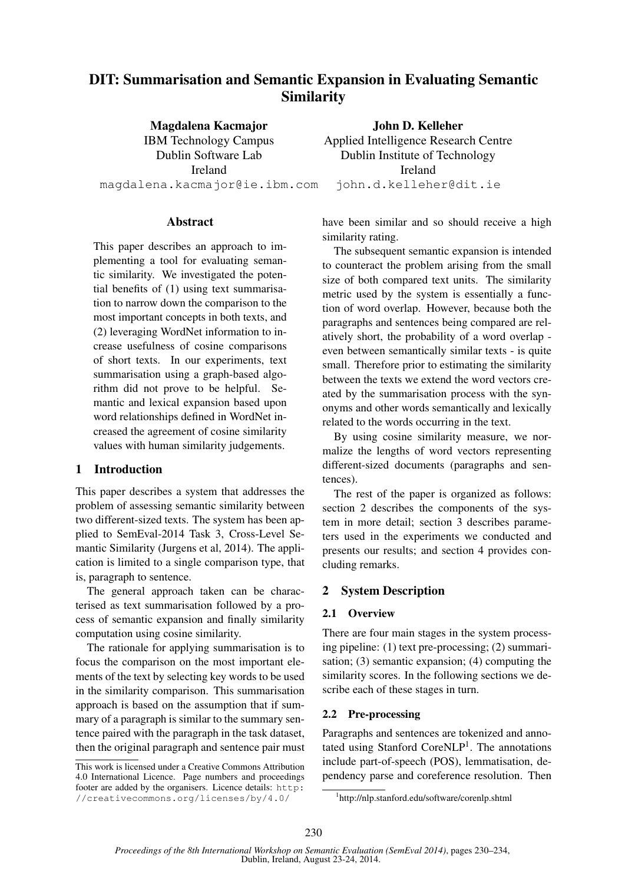# DIT: Summarisation and Semantic Expansion in Evaluating Semantic Similarity

Magdalena Kacmajor IBM Technology Campus Dublin Software Lab Ireland magdalena.kacmajor@ie.ibm.com

John D. Kelleher Applied Intelligence Research Centre Dublin Institute of Technology Ireland john.d.kelleher@dit.ie

# **Abstract**

This paper describes an approach to implementing a tool for evaluating semantic similarity. We investigated the potential benefits of (1) using text summarisation to narrow down the comparison to the most important concepts in both texts, and (2) leveraging WordNet information to increase usefulness of cosine comparisons of short texts. In our experiments, text summarisation using a graph-based algorithm did not prove to be helpful. Semantic and lexical expansion based upon word relationships defined in WordNet increased the agreement of cosine similarity values with human similarity judgements.

# 1 Introduction

This paper describes a system that addresses the problem of assessing semantic similarity between two different-sized texts. The system has been applied to SemEval-2014 Task 3, Cross-Level Semantic Similarity (Jurgens et al, 2014). The application is limited to a single comparison type, that is, paragraph to sentence.

The general approach taken can be characterised as text summarisation followed by a process of semantic expansion and finally similarity computation using cosine similarity.

The rationale for applying summarisation is to focus the comparison on the most important elements of the text by selecting key words to be used in the similarity comparison. This summarisation approach is based on the assumption that if summary of a paragraph is similar to the summary sentence paired with the paragraph in the task dataset, then the original paragraph and sentence pair must have been similar and so should receive a high similarity rating.

The subsequent semantic expansion is intended to counteract the problem arising from the small size of both compared text units. The similarity metric used by the system is essentially a function of word overlap. However, because both the paragraphs and sentences being compared are relatively short, the probability of a word overlap even between semantically similar texts - is quite small. Therefore prior to estimating the similarity between the texts we extend the word vectors created by the summarisation process with the synonyms and other words semantically and lexically related to the words occurring in the text.

By using cosine similarity measure, we normalize the lengths of word vectors representing different-sized documents (paragraphs and sentences).

The rest of the paper is organized as follows: section 2 describes the components of the system in more detail; section 3 describes parameters used in the experiments we conducted and presents our results; and section 4 provides concluding remarks.

### 2 System Description

### 2.1 Overview

There are four main stages in the system processing pipeline: (1) text pre-processing; (2) summarisation; (3) semantic expansion; (4) computing the similarity scores. In the following sections we describe each of these stages in turn.

### 2.2 Pre-processing

Paragraphs and sentences are tokenized and annotated using Stanford CoreNLP<sup>1</sup>. The annotations include part-of-speech (POS), lemmatisation, dependency parse and coreference resolution. Then

This work is licensed under a Creative Commons Attribution 4.0 International Licence. Page numbers and proceedings footer are added by the organisers. Licence details: http: //creativecommons.org/licenses/by/4.0/

<sup>1</sup> http://nlp.stanford.edu/software/corenlp.shtml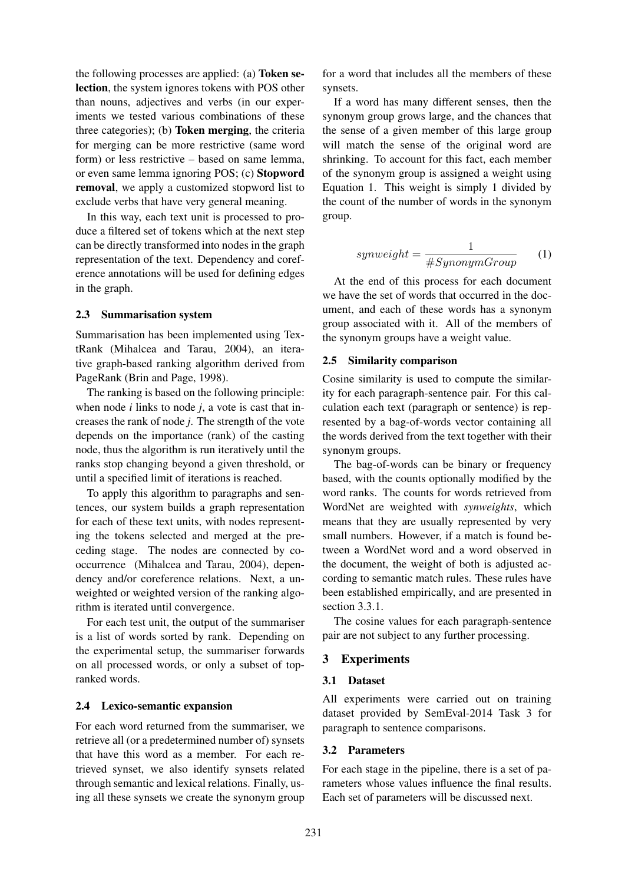the following processes are applied: (a) Token selection, the system ignores tokens with POS other than nouns, adjectives and verbs (in our experiments we tested various combinations of these three categories); (b) Token merging, the criteria for merging can be more restrictive (same word form) or less restrictive – based on same lemma, or even same lemma ignoring POS; (c) Stopword removal, we apply a customized stopword list to exclude verbs that have very general meaning.

In this way, each text unit is processed to produce a filtered set of tokens which at the next step can be directly transformed into nodes in the graph representation of the text. Dependency and coreference annotations will be used for defining edges in the graph.

### 2.3 Summarisation system

Summarisation has been implemented using TextRank (Mihalcea and Tarau, 2004), an iterative graph-based ranking algorithm derived from PageRank (Brin and Page, 1998).

The ranking is based on the following principle: when node  $i$  links to node  $j$ , a vote is cast that increases the rank of node *j*. The strength of the vote depends on the importance (rank) of the casting node, thus the algorithm is run iteratively until the ranks stop changing beyond a given threshold, or until a specified limit of iterations is reached.

To apply this algorithm to paragraphs and sentences, our system builds a graph representation for each of these text units, with nodes representing the tokens selected and merged at the preceding stage. The nodes are connected by cooccurrence (Mihalcea and Tarau, 2004), dependency and/or coreference relations. Next, a unweighted or weighted version of the ranking algorithm is iterated until convergence.

For each test unit, the output of the summariser is a list of words sorted by rank. Depending on the experimental setup, the summariser forwards on all processed words, or only a subset of topranked words.

### 2.4 Lexico-semantic expansion

For each word returned from the summariser, we retrieve all (or a predetermined number of) synsets that have this word as a member. For each retrieved synset, we also identify synsets related through semantic and lexical relations. Finally, using all these synsets we create the synonym group

for a word that includes all the members of these synsets.

If a word has many different senses, then the synonym group grows large, and the chances that the sense of a given member of this large group will match the sense of the original word are shrinking. To account for this fact, each member of the synonym group is assigned a weight using Equation 1. This weight is simply 1 divided by the count of the number of words in the synonym group.

$$
symweight = \frac{1}{\# SynonymGroup} \qquad (1)
$$

At the end of this process for each document we have the set of words that occurred in the document, and each of these words has a synonym group associated with it. All of the members of the synonym groups have a weight value.

### 2.5 Similarity comparison

Cosine similarity is used to compute the similarity for each paragraph-sentence pair. For this calculation each text (paragraph or sentence) is represented by a bag-of-words vector containing all the words derived from the text together with their synonym groups.

The bag-of-words can be binary or frequency based, with the counts optionally modified by the word ranks. The counts for words retrieved from WordNet are weighted with *synweights*, which means that they are usually represented by very small numbers. However, if a match is found between a WordNet word and a word observed in the document, the weight of both is adjusted according to semantic match rules. These rules have been established empirically, and are presented in section 3.3.1.

The cosine values for each paragraph-sentence pair are not subject to any further processing.

### 3 Experiments

#### 3.1 Dataset

All experiments were carried out on training dataset provided by SemEval-2014 Task 3 for paragraph to sentence comparisons.

#### 3.2 Parameters

For each stage in the pipeline, there is a set of parameters whose values influence the final results. Each set of parameters will be discussed next.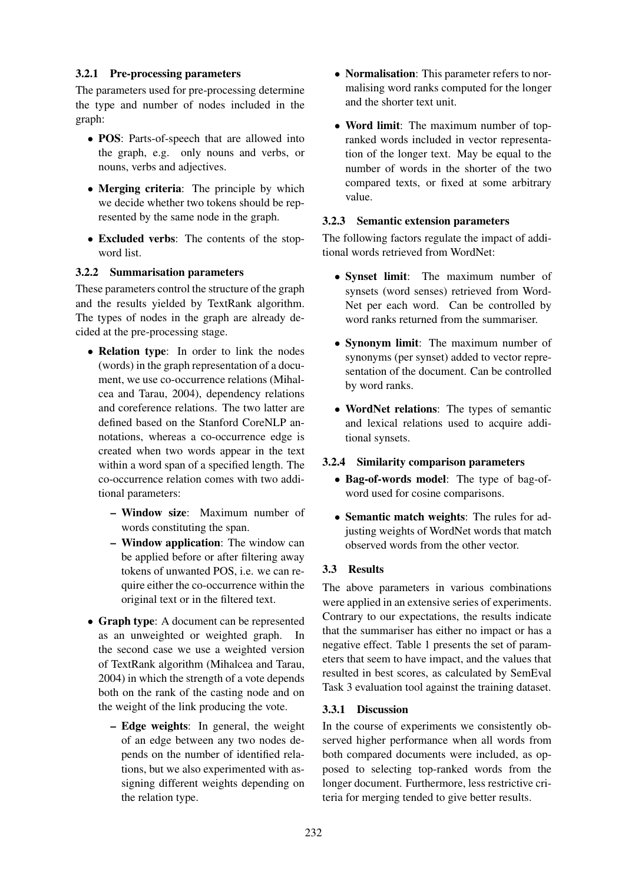# 3.2.1 Pre-processing parameters

The parameters used for pre-processing determine the type and number of nodes included in the graph:

- POS: Parts-of-speech that are allowed into the graph, e.g. only nouns and verbs, or nouns, verbs and adjectives.
- Merging criteria: The principle by which we decide whether two tokens should be represented by the same node in the graph.
- Excluded verbs: The contents of the stopword list.

### 3.2.2 Summarisation parameters

These parameters control the structure of the graph and the results yielded by TextRank algorithm. The types of nodes in the graph are already decided at the pre-processing stage.

- Relation type: In order to link the nodes (words) in the graph representation of a document, we use co-occurrence relations (Mihalcea and Tarau, 2004), dependency relations and coreference relations. The two latter are defined based on the Stanford CoreNLP annotations, whereas a co-occurrence edge is created when two words appear in the text within a word span of a specified length. The co-occurrence relation comes with two additional parameters:
	- Window size: Maximum number of words constituting the span.
	- Window application: The window can be applied before or after filtering away tokens of unwanted POS, i.e. we can require either the co-occurrence within the original text or in the filtered text.
- Graph type: A document can be represented as an unweighted or weighted graph. In the second case we use a weighted version of TextRank algorithm (Mihalcea and Tarau, 2004) in which the strength of a vote depends both on the rank of the casting node and on the weight of the link producing the vote.
	- Edge weights: In general, the weight of an edge between any two nodes depends on the number of identified relations, but we also experimented with assigning different weights depending on the relation type.
- **Normalisation**: This parameter refers to normalising word ranks computed for the longer and the shorter text unit.
- Word limit: The maximum number of topranked words included in vector representation of the longer text. May be equal to the number of words in the shorter of the two compared texts, or fixed at some arbitrary value.

### 3.2.3 Semantic extension parameters

The following factors regulate the impact of additional words retrieved from WordNet:

- Synset limit: The maximum number of synsets (word senses) retrieved from Word-Net per each word. Can be controlled by word ranks returned from the summariser.
- **Synonym limit:** The maximum number of synonyms (per synset) added to vector representation of the document. Can be controlled by word ranks.
- WordNet relations: The types of semantic and lexical relations used to acquire additional synsets.

# 3.2.4 Similarity comparison parameters

- Bag-of-words model: The type of bag-ofword used for cosine comparisons.
- Semantic match weights: The rules for adjusting weights of WordNet words that match observed words from the other vector.

# 3.3 Results

The above parameters in various combinations were applied in an extensive series of experiments. Contrary to our expectations, the results indicate that the summariser has either no impact or has a negative effect. Table 1 presents the set of parameters that seem to have impact, and the values that resulted in best scores, as calculated by SemEval Task 3 evaluation tool against the training dataset.

### 3.3.1 Discussion

In the course of experiments we consistently observed higher performance when all words from both compared documents were included, as opposed to selecting top-ranked words from the longer document. Furthermore, less restrictive criteria for merging tended to give better results.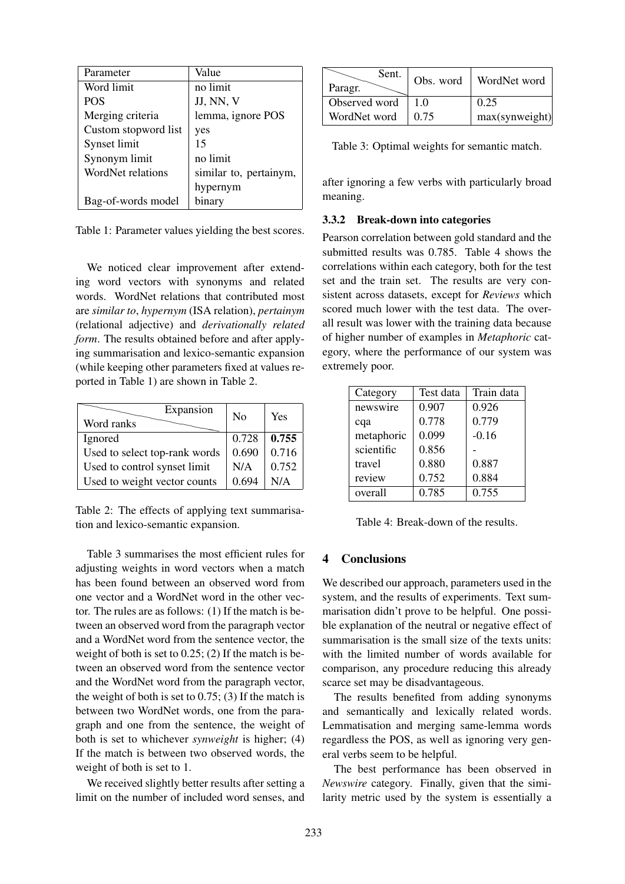| Parameter            | Value                  |
|----------------------|------------------------|
| Word limit           | no limit               |
| <b>POS</b>           | JJ, NN, V              |
| Merging criteria     | lemma, ignore POS      |
| Custom stopword list | yes                    |
| Synset limit         | 15                     |
| Synonym limit        | no limit               |
| WordNet relations    | similar to, pertainym, |
|                      | hypernym               |
| Bag-of-words model   | binary                 |

Table 1: Parameter values yielding the best scores.

We noticed clear improvement after extending word vectors with synonyms and related words. WordNet relations that contributed most are *similar to*, *hypernym* (ISA relation), *pertainym* (relational adjective) and *derivationally related form*. The results obtained before and after applying summarisation and lexico-semantic expansion (while keeping other parameters fixed at values reported in Table 1) are shown in Table 2.

| Expansion<br>Word ranks       | $\rm No$ | Yes   |
|-------------------------------|----------|-------|
| Ignored                       | 0.728    | 0.755 |
| Used to select top-rank words | 0.690    | 0.716 |
| Used to control synset limit  | N/A      | 0.752 |
| Used to weight vector counts  | 0.694    | N/A   |

Table 2: The effects of applying text summarisation and lexico-semantic expansion.

Table 3 summarises the most efficient rules for adjusting weights in word vectors when a match has been found between an observed word from one vector and a WordNet word in the other vector. The rules are as follows: (1) If the match is between an observed word from the paragraph vector and a WordNet word from the sentence vector, the weight of both is set to 0.25; (2) If the match is between an observed word from the sentence vector and the WordNet word from the paragraph vector, the weight of both is set to  $0.75$ ; (3) If the match is between two WordNet words, one from the paragraph and one from the sentence, the weight of both is set to whichever *synweight* is higher; (4) If the match is between two observed words, the weight of both is set to 1.

We received slightly better results after setting a limit on the number of included word senses, and

| Sent.<br>Paragr. | Obs. word | WordNet word   |
|------------------|-----------|----------------|
| Observed word    | 10        | 0.25           |
| WordNet word     | 0.75      | max(synweight) |

Table 3: Optimal weights for semantic match.

after ignoring a few verbs with particularly broad meaning.

#### 3.3.2 Break-down into categories

Pearson correlation between gold standard and the submitted results was 0.785. Table 4 shows the correlations within each category, both for the test set and the train set. The results are very consistent across datasets, except for *Reviews* which scored much lower with the test data. The overall result was lower with the training data because of higher number of examples in *Metaphoric* category, where the performance of our system was extremely poor.

| Category   | Test data | Train data |
|------------|-----------|------------|
| newswire   | 0.907     | 0.926      |
| cqa        | 0.778     | 0.779      |
| metaphoric | 0.099     | $-0.16$    |
| scientific | 0.856     |            |
| travel     | 0.880     | 0.887      |
| review     | 0.752     | 0.884      |
| overall    | 0.785     | 0.755      |

Table 4: Break-down of the results.

# 4 Conclusions

We described our approach, parameters used in the system, and the results of experiments. Text summarisation didn't prove to be helpful. One possible explanation of the neutral or negative effect of summarisation is the small size of the texts units: with the limited number of words available for comparison, any procedure reducing this already scarce set may be disadvantageous.

The results benefited from adding synonyms and semantically and lexically related words. Lemmatisation and merging same-lemma words regardless the POS, as well as ignoring very general verbs seem to be helpful.

The best performance has been observed in *Newswire* category. Finally, given that the similarity metric used by the system is essentially a